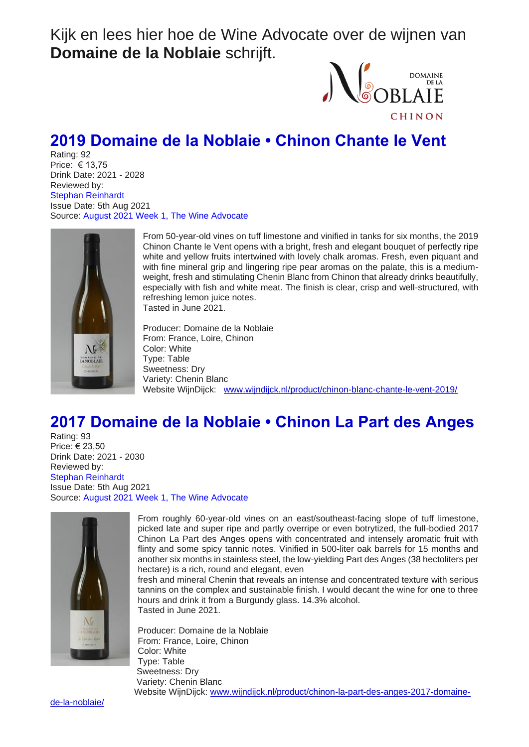Kijk en lees hier hoe de Wine Advocate over de wijnen van **Domaine de la Noblaie** schrijft.



## **2019 Domaine de la Noblaie • Chinon Chante le Vent**

Rating: 92 Price: € 13,75 Drink Date: 2021 - 2028 Reviewed by: Stephan Reinhardt Issue Date: 5th Aug 2021 Source: August 2021 Week 1, The Wine Advocate



From 50-year-old vines on tuff limestone and vinified in tanks for six months, the 2019 Chinon Chante le Vent opens with a bright, fresh and elegant bouquet of perfectly ripe white and yellow fruits intertwined with lovely chalk aromas. Fresh, even piquant and with fine mineral grip and lingering ripe pear aromas on the palate, this is a mediumweight, fresh and stimulating Chenin Blanc from Chinon that already drinks beautifully, especially with fish and white meat. The finish is clear, crisp and well-structured, with refreshing lemon juice notes. Tasted in June 2021.

Producer: Domaine de la Noblaie From: France, Loire, Chinon Color: White Type: Table Sweetness: Dry Variety: Chenin Blanc Website WijnDijck: [www.wijndijck.nl/product/chinon-blanc-chante-le-vent-2019/](http://www.wijndijck.nl/product/chinon-blanc-chante-le-vent-2019/)

## **2017 Domaine de la Noblaie • Chinon La Part des Anges**

Rating: 93 Price: € 23,50 Drink Date: 2021 - 2030 Reviewed by: Stephan Reinhardt Issue Date: 5th Aug 2021 Source: August 2021 Week 1, The Wine Advocate



From roughly 60-year-old vines on an east/southeast-facing slope of tuff limestone, picked late and super ripe and partly overripe or even botrytized, the full-bodied 2017 Chinon La Part des Anges opens with concentrated and intensely aromatic fruit with flinty and some spicy tannic notes. Vinified in 500-liter oak barrels for 15 months and another six months in stainless steel, the low-yielding Part des Anges (38 hectoliters per hectare) is a rich, round and elegant, even

fresh and mineral Chenin that reveals an intense and concentrated texture with serious tannins on the complex and sustainable finish. I would decant the wine for one to three hours and drink it from a Burgundy glass. 14.3% alcohol. Tasted in June 2021.

Producer: Domaine de la Noblaie From: France, Loire, Chinon Color: White Type: Table Sweetness: Dry Variety: Chenin Blanc Website WijnDijck: [www.wijndijck.nl/product/chinon-la-part-des-anges-2017-domaine-](http://www.wijndijck.nl/product/chinon-la-part-des-anges-2017-domaine-de-la-noblaie/)